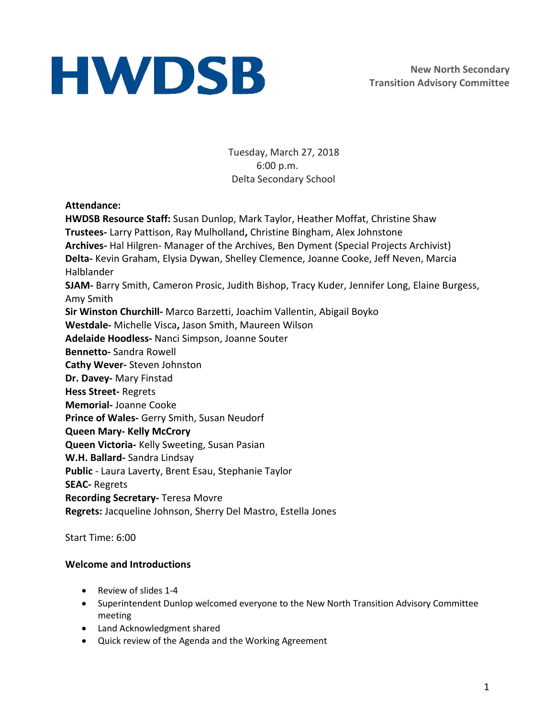Tuesday, March 27, 2018 6:00 p.m. Delta Secondary School

## **Attendance:**

**HWDSB Resource Staff:** Susan Dunlop, Mark Taylor, Heather Moffat, Christine Shaw **Trustees-** Larry Pattison, Ray Mulholland**,** Christine Bingham, Alex Johnstone **Archives-** Hal Hilgren- Manager of the Archives, Ben Dyment (Special Projects Archivist) **Delta-** Kevin Graham, Elysia Dywan, Shelley Clemence, Joanne Cooke, Jeff Neven, Marcia Halblander **SJAM-** Barry Smith, Cameron Prosic, Judith Bishop, Tracy Kuder, Jennifer Long, Elaine Burgess, Amy Smith **Sir Winston Churchill-** Marco Barzetti, Joachim Vallentin, Abigail Boyko **Westdale-** Michelle Visca**,** Jason Smith, Maureen Wilson **Adelaide Hoodless-** Nanci Simpson, Joanne Souter **Bennetto-** Sandra Rowell **Cathy Wever-** Steven Johnston **Dr. Davey-** Mary Finstad **Hess Street-** Regrets **Memorial-** Joanne Cooke **Prince of Wales-** Gerry Smith, Susan Neudorf **Queen Mary- Kelly McCrory Queen Victoria-** Kelly Sweeting, Susan Pasian **W.H. Ballard-** Sandra Lindsay **Public** - Laura Laverty, Brent Esau, Stephanie Taylor **SEAC-** Regrets **Recording Secretary-** Teresa Movre **Regrets:** Jacqueline Johnson, Sherry Del Mastro, Estella Jones

Start Time: 6:00

## **Welcome and Introductions**

- Review of slides 1-4
- Superintendent Dunlop welcomed everyone to the New North Transition Advisory Committee meeting
- Land Acknowledgment shared
- Quick review of the Agenda and the Working Agreement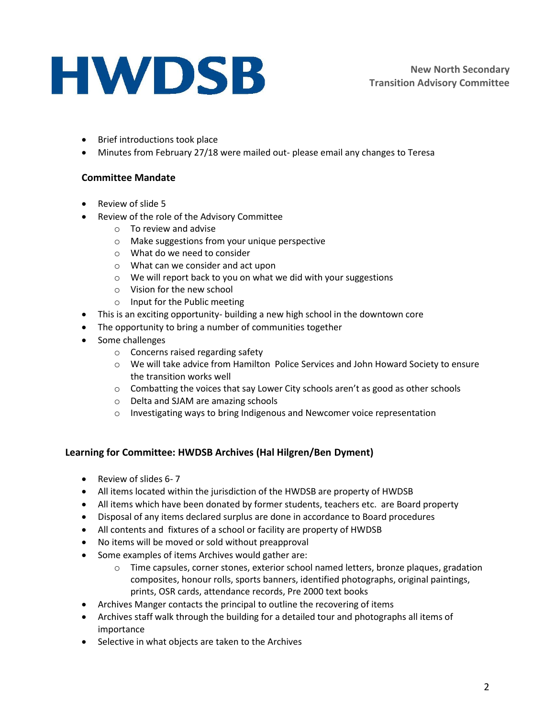- Brief introductions took place
- Minutes from February 27/18 were mailed out- please email any changes to Teresa

### **Committee Mandate**

- Review of slide 5
- Review of the role of the Advisory Committee
	- o To review and advise
	- o Make suggestions from your unique perspective
	- o What do we need to consider
	- o What can we consider and act upon
	- o We will report back to you on what we did with your suggestions
	- o Vision for the new school
	- o Input for the Public meeting
- This is an exciting opportunity- building a new high school in the downtown core
- The opportunity to bring a number of communities together
- Some challenges
	- o Concerns raised regarding safety
	- o We will take advice from Hamilton Police Services and John Howard Society to ensure the transition works well
	- o Combatting the voices that say Lower City schools aren't as good as other schools
	- o Delta and SJAM are amazing schools
	- o Investigating ways to bring Indigenous and Newcomer voice representation

### **Learning for Committee: HWDSB Archives (Hal Hilgren/Ben Dyment)**

- Review of slides 6-7
- All items located within the jurisdiction of the HWDSB are property of HWDSB
- All items which have been donated by former students, teachers etc. are Board property
- Disposal of any items declared surplus are done in accordance to Board procedures
- All contents and fixtures of a school or facility are property of HWDSB
- No items will be moved or sold without preapproval
- Some examples of items Archives would gather are:
	- o Time capsules, corner stones, exterior school named letters, bronze plaques, gradation composites, honour rolls, sports banners, identified photographs, original paintings, prints, OSR cards, attendance records, Pre 2000 text books
- Archives Manger contacts the principal to outline the recovering of items
- Archives staff walk through the building for a detailed tour and photographs all items of importance
- Selective in what objects are taken to the Archives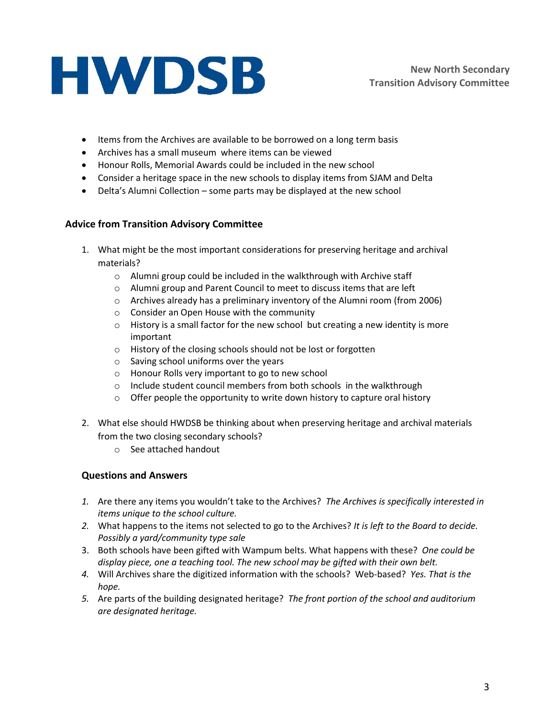- Items from the Archives are available to be borrowed on a long term basis
- Archives has a small museum where items can be viewed
- Honour Rolls, Memorial Awards could be included in the new school
- Consider a heritage space in the new schools to display items from SJAM and Delta
- Delta's Alumni Collection some parts may be displayed at the new school

### **Advice from Transition Advisory Committee**

- 1. What might be the most important considerations for preserving heritage and archival materials?
	- o Alumni group could be included in the walkthrough with Archive staff
	- o Alumni group and Parent Council to meet to discuss items that are left
	- $\circ$  Archives already has a preliminary inventory of the Alumni room (from 2006)
	- o Consider an Open House with the community
	- o History is a small factor for the new school but creating a new identity is more important
	- o History of the closing schools should not be lost or forgotten
	- o Saving school uniforms over the years
	- o Honour Rolls very important to go to new school
	- o Include student council members from both schools in the walkthrough
	- o Offer people the opportunity to write down history to capture oral history
- 2. What else should HWDSB be thinking about when preserving heritage and archival materials from the two closing secondary schools?
	- o See attached handout

## **Questions and Answers**

- *1.* Are there any items you wouldn't take to the Archives? *The Archives is specifically interested in items unique to the school culture.*
- *2.* What happens to the items not selected to go to the Archives? *It is left to the Board to decide. Possibly a yard/community type sale*
- 3. Both schools have been gifted with Wampum belts. What happens with these? *One could be display piece, one a teaching tool. The new school may be gifted with their own belt.*
- *4.* Will Archives share the digitized information with the schools? Web-based? *Yes. That is the hope.*
- *5.* Are parts of the building designated heritage? *The front portion of the school and auditorium are designated heritage.*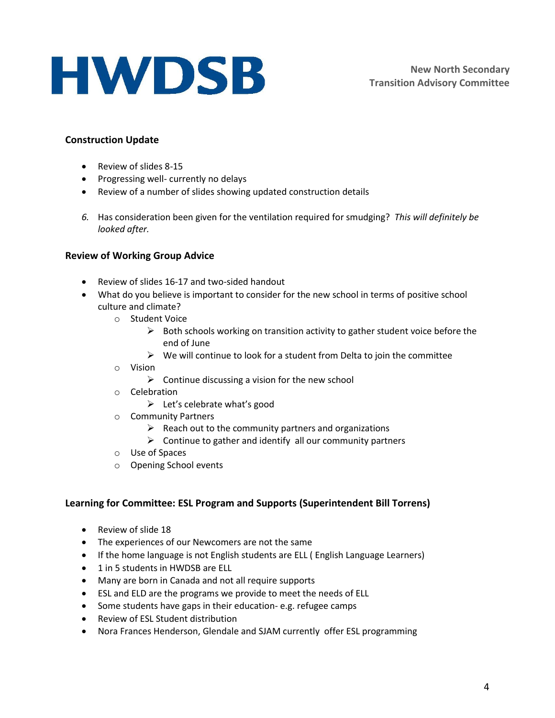## **Construction Update**

- Review of slides 8-15
- Progressing well- currently no delays
- Review of a number of slides showing updated construction details
- *6.* Has consideration been given for the ventilation required for smudging? *This will definitely be looked after.*

### **Review of Working Group Advice**

- Review of slides 16-17 and two-sided handout
- What do you believe is important to consider for the new school in terms of positive school culture and climate?
	- o Student Voice
		- $\triangleright$  Both schools working on transition activity to gather student voice before the end of June
		- $\triangleright$  We will continue to look for a student from Delta to join the committee
	- o Vision
		- $\triangleright$  Continue discussing a vision for the new school
	- o Celebration
		- $\triangleright$  Let's celebrate what's good
	- o Community Partners
		- $\triangleright$  Reach out to the community partners and organizations
		- $\triangleright$  Continue to gather and identify all our community partners
	- o Use of Spaces
	- o Opening School events

### **Learning for Committee: ESL Program and Supports (Superintendent Bill Torrens)**

- Review of slide 18
- The experiences of our Newcomers are not the same
- If the home language is not English students are ELL ( English Language Learners)
- 1 in 5 students in HWDSB are ELL
- Many are born in Canada and not all require supports
- ESL and ELD are the programs we provide to meet the needs of ELL
- Some students have gaps in their education- e.g. refugee camps
- Review of ESL Student distribution
- Nora Frances Henderson, Glendale and SJAM currently offer ESL programming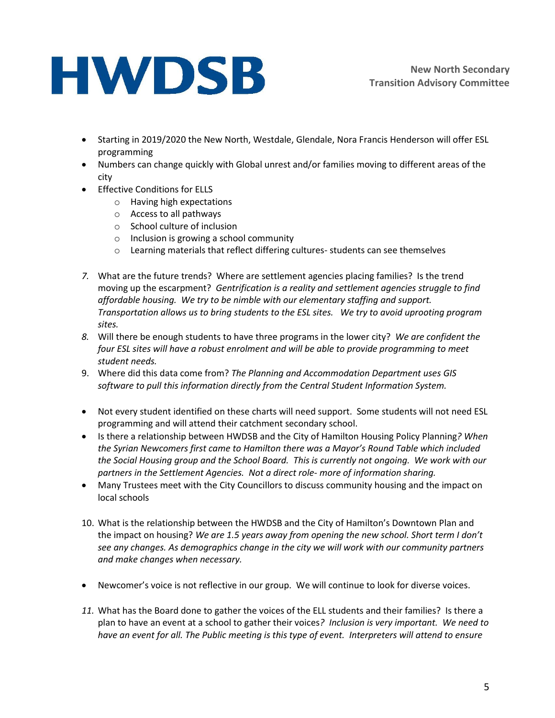- Starting in 2019/2020 the New North, Westdale, Glendale, Nora Francis Henderson will offer ESL programming
- Numbers can change quickly with Global unrest and/or families moving to different areas of the city
- **•** Effective Conditions for ELLS
	- o Having high expectations
	- o Access to all pathways
	- o School culture of inclusion
	- o Inclusion is growing a school community
	- $\circ$  Learning materials that reflect differing cultures-students can see themselves
- *7.* What are the future trends? Where are settlement agencies placing families? Is the trend moving up the escarpment? *Gentrification is a reality and settlement agencies struggle to find affordable housing. We try to be nimble with our elementary staffing and support. Transportation allows us to bring students to the ESL sites. We try to avoid uprooting program sites.*
- *8.* Will there be enough students to have three programs in the lower city? *We are confident the four ESL sites will have a robust enrolment and will be able to provide programming to meet student needs.*
- 9. Where did this data come from? *The Planning and Accommodation Department uses GIS software to pull this information directly from the Central Student Information System.*
- Not every student identified on these charts will need support. Some students will not need ESL programming and will attend their catchment secondary school.
- Is there a relationship between HWDSB and the City of Hamilton Housing Policy Planning*? When the Syrian Newcomers first came to Hamilton there was a Mayor's Round Table which included the Social Housing group and the School Board. This is currently not ongoing. We work with our partners in the Settlement Agencies. Not a direct role- more of information sharing.*
- Many Trustees meet with the City Councillors to discuss community housing and the impact on local schools
- 10. What is the relationship between the HWDSB and the City of Hamilton's Downtown Plan and the impact on housing? *We are 1.5 years away from opening the new school. Short term I don't see any changes. As demographics change in the city we will work with our community partners and make changes when necessary.*
- Newcomer's voice is not reflective in our group. We will continue to look for diverse voices.
- *11.* What has the Board done to gather the voices of the ELL students and their families? Is there a plan to have an event at a school to gather their voices*? Inclusion is very important. We need to have an event for all. The Public meeting is this type of event. Interpreters will attend to ensure*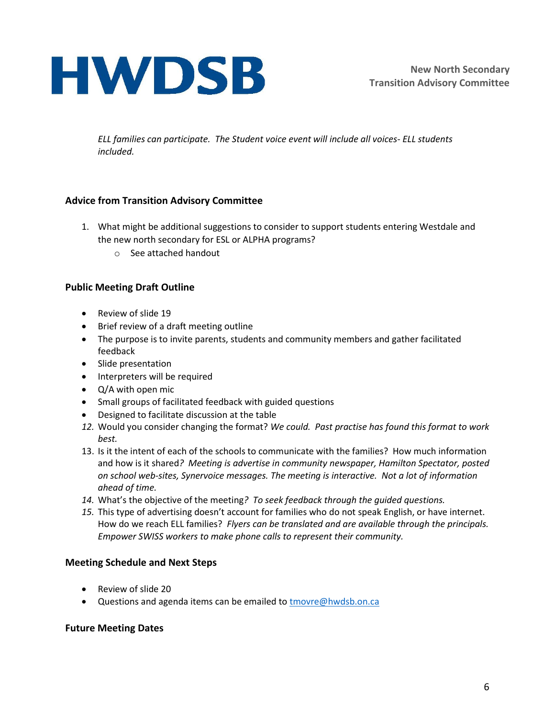*ELL families can participate. The Student voice event will include all voices- ELL students included.*

## **Advice from Transition Advisory Committee**

- 1. What might be additional suggestions to consider to support students entering Westdale and the new north secondary for ESL or ALPHA programs?
	- o See attached handout

## **Public Meeting Draft Outline**

- Review of slide 19
- Brief review of a draft meeting outline
- The purpose is to invite parents, students and community members and gather facilitated feedback
- Slide presentation
- Interpreters will be required
- Q/A with open mic
- Small groups of facilitated feedback with guided questions
- Designed to facilitate discussion at the table
- *12.* Would you consider changing the format? *We could. Past practise has found this format to work best.*
- 13. Is it the intent of each of the schools to communicate with the families? How much information and how is it shared*? Meeting is advertise in community newspaper, Hamilton Spectator, posted on school web-sites, Synervoice messages. The meeting is interactive. Not a lot of information ahead of time.*
- *14.* What's the objective of the meeting*? To seek feedback through the guided questions.*
- *15.* This type of advertising doesn't account for families who do not speak English, or have internet. How do we reach ELL families? *Flyers can be translated and are available through the principals. Empower SWISS workers to make phone calls to represent their community.*

## **Meeting Schedule and Next Steps**

- Review of slide 20
- Questions and agenda items can be emailed t[o tmovre@hwdsb.on.ca](mailto:tmovre@hwdsb.on.ca)

### **Future Meeting Dates**